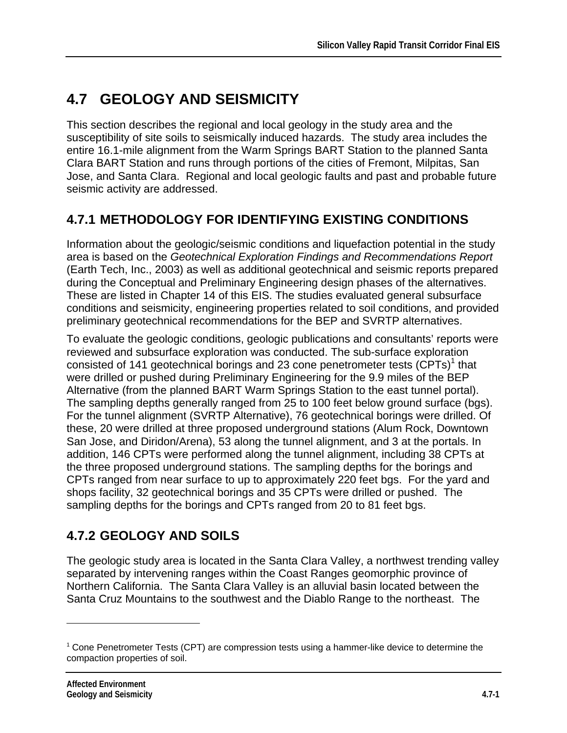# **4.7 GEOLOGY AND SEISMICITY**

This section describes the regional and local geology in the study area and the susceptibility of site soils to seismically induced hazards. The study area includes the entire 16.1-mile alignment from the Warm Springs BART Station to the planned Santa Clara BART Station and runs through portions of the cities of Fremont, Milpitas, San Jose, and Santa Clara. Regional and local geologic faults and past and probable future seismic activity are addressed.

# **4.7.1 METHODOLOGY FOR IDENTIFYING EXISTING CONDITIONS**

Information about the geologic/seismic conditions and liquefaction potential in the study area is based on the *Geotechnical Exploration Findings and Recommendations Report*  (Earth Tech, Inc., 2003) as well as additional geotechnical and seismic reports prepared during the Conceptual and Preliminary Engineering design phases of the alternatives. These are listed in Chapter 14 of this EIS. The studies evaluated general subsurface conditions and seismicity, engineering properties related to soil conditions, and provided preliminary geotechnical recommendations for the BEP and SVRTP alternatives.

To evaluate the geologic conditions, geologic publications and consultants' reports were reviewed and subsurface exploration was conducted. The sub-surface exploration consisted of 141 geotechnical borings and 23 cone penetrometer tests  $(CPTs)^1$  that were drilled or pushed during Preliminary Engineering for the 9.9 miles of the BEP Alternative (from the planned BART Warm Springs Station to the east tunnel portal). The sampling depths generally ranged from 25 to 100 feet below ground surface (bgs). For the tunnel alignment (SVRTP Alternative), 76 geotechnical borings were drilled. Of these, 20 were drilled at three proposed underground stations (Alum Rock, Downtown San Jose, and Diridon/Arena), 53 along the tunnel alignment, and 3 at the portals. In addition, 146 CPTs were performed along the tunnel alignment, including 38 CPTs at the three proposed underground stations. The sampling depths for the borings and CPTs ranged from near surface to up to approximately 220 feet bgs. For the yard and shops facility, 32 geotechnical borings and 35 CPTs were drilled or pushed. The sampling depths for the borings and CPTs ranged from 20 to 81 feet bgs.

# **4.7.2 GEOLOGY AND SOILS**

The geologic study area is located in the Santa Clara Valley, a northwest trending valley separated by intervening ranges within the Coast Ranges geomorphic province of Northern California. The Santa Clara Valley is an alluvial basin located between the Santa Cruz Mountains to the southwest and the Diablo Range to the northeast. The

 $\overline{a}$ 

<sup>1</sup> Cone Penetrometer Tests (CPT) are compression tests using a hammer-like device to determine the compaction properties of soil.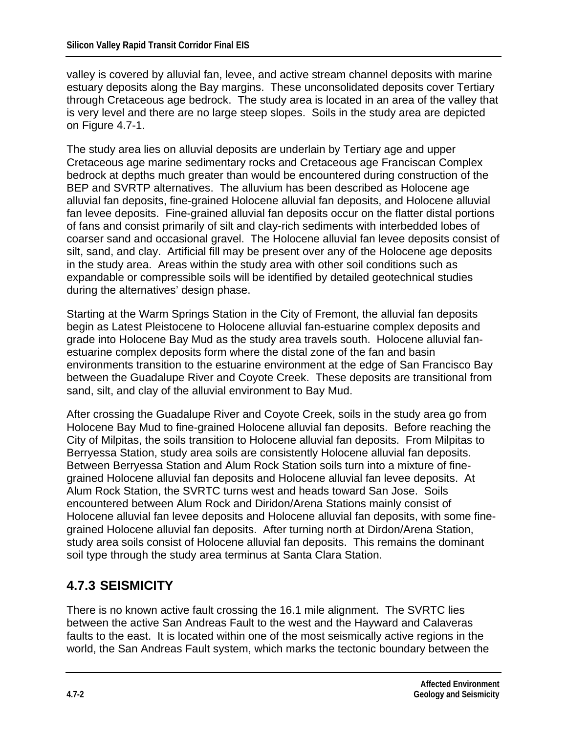valley is covered by alluvial fan, levee, and active stream channel deposits with marine estuary deposits along the Bay margins. These unconsolidated deposits cover Tertiary through Cretaceous age bedrock. The study area is located in an area of the valley that is very level and there are no large steep slopes. Soils in the study area are depicted on Figure 4.7-1.

The study area lies on alluvial deposits are underlain by Tertiary age and upper Cretaceous age marine sedimentary rocks and Cretaceous age Franciscan Complex bedrock at depths much greater than would be encountered during construction of the BEP and SVRTP alternatives. The alluvium has been described as Holocene age alluvial fan deposits, fine-grained Holocene alluvial fan deposits, and Holocene alluvial fan levee deposits. Fine-grained alluvial fan deposits occur on the flatter distal portions of fans and consist primarily of silt and clay-rich sediments with interbedded lobes of coarser sand and occasional gravel. The Holocene alluvial fan levee deposits consist of silt, sand, and clay. Artificial fill may be present over any of the Holocene age deposits in the study area. Areas within the study area with other soil conditions such as expandable or compressible soils will be identified by detailed geotechnical studies during the alternatives' design phase.

Starting at the Warm Springs Station in the City of Fremont, the alluvial fan deposits begin as Latest Pleistocene to Holocene alluvial fan-estuarine complex deposits and grade into Holocene Bay Mud as the study area travels south. Holocene alluvial fanestuarine complex deposits form where the distal zone of the fan and basin environments transition to the estuarine environment at the edge of San Francisco Bay between the Guadalupe River and Coyote Creek. These deposits are transitional from sand, silt, and clay of the alluvial environment to Bay Mud.

After crossing the Guadalupe River and Coyote Creek, soils in the study area go from Holocene Bay Mud to fine-grained Holocene alluvial fan deposits. Before reaching the City of Milpitas, the soils transition to Holocene alluvial fan deposits. From Milpitas to Berryessa Station, study area soils are consistently Holocene alluvial fan deposits. Between Berryessa Station and Alum Rock Station soils turn into a mixture of finegrained Holocene alluvial fan deposits and Holocene alluvial fan levee deposits. At Alum Rock Station, the SVRTC turns west and heads toward San Jose. Soils encountered between Alum Rock and Diridon/Arena Stations mainly consist of Holocene alluvial fan levee deposits and Holocene alluvial fan deposits, with some finegrained Holocene alluvial fan deposits. After turning north at Dirdon/Arena Station, study area soils consist of Holocene alluvial fan deposits. This remains the dominant soil type through the study area terminus at Santa Clara Station.

# **4.7.3 SEISMICITY**

There is no known active fault crossing the 16.1 mile alignment. The SVRTC lies between the active San Andreas Fault to the west and the Hayward and Calaveras faults to the east. It is located within one of the most seismically active regions in the world, the San Andreas Fault system, which marks the tectonic boundary between the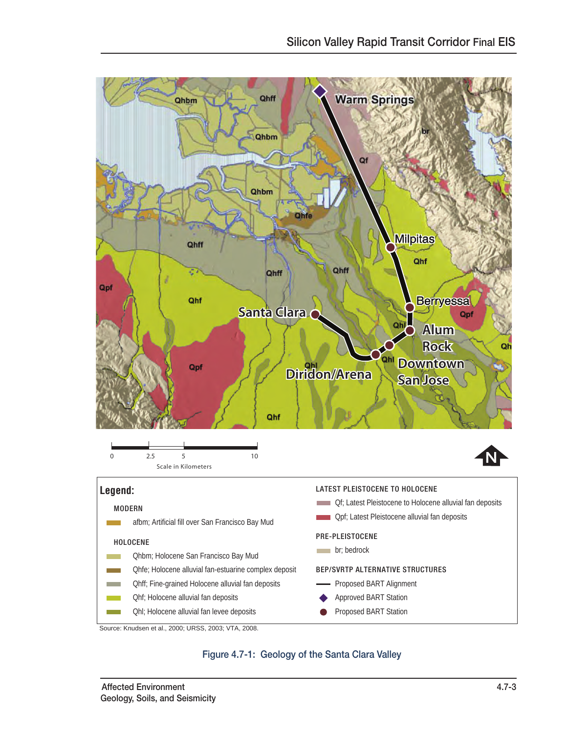

#### Figure 4.7-1: Geology of the Santa Clara Valley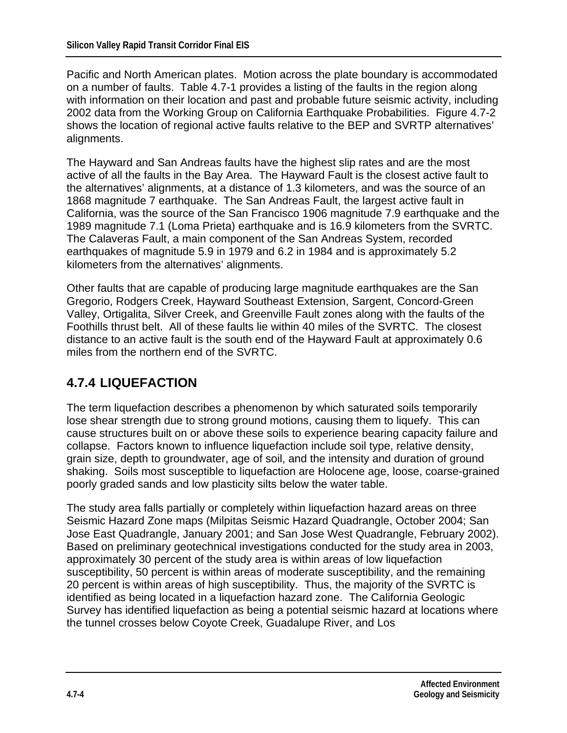Pacific and North American plates. Motion across the plate boundary is accommodated on a number of faults. Table 4.7-1 provides a listing of the faults in the region along with information on their location and past and probable future seismic activity, including 2002 data from the Working Group on California Earthquake Probabilities. Figure 4.7-2 shows the location of regional active faults relative to the BEP and SVRTP alternatives' alignments.

The Hayward and San Andreas faults have the highest slip rates and are the most active of all the faults in the Bay Area. The Hayward Fault is the closest active fault to the alternatives' alignments, at a distance of 1.3 kilometers, and was the source of an 1868 magnitude 7 earthquake. The San Andreas Fault, the largest active fault in California, was the source of the San Francisco 1906 magnitude 7.9 earthquake and the 1989 magnitude 7.1 (Loma Prieta) earthquake and is 16.9 kilometers from the SVRTC. The Calaveras Fault, a main component of the San Andreas System, recorded earthquakes of magnitude 5.9 in 1979 and 6.2 in 1984 and is approximately 5.2 kilometers from the alternatives' alignments.

Other faults that are capable of producing large magnitude earthquakes are the San Gregorio, Rodgers Creek, Hayward Southeast Extension, Sargent, Concord-Green Valley, Ortigalita, Silver Creek, and Greenville Fault zones along with the faults of the Foothills thrust belt. All of these faults lie within 40 miles of the SVRTC. The closest distance to an active fault is the south end of the Hayward Fault at approximately 0.6 miles from the northern end of the SVRTC.

# **4.7.4 LIQUEFACTION**

The term liquefaction describes a phenomenon by which saturated soils temporarily lose shear strength due to strong ground motions, causing them to liquefy. This can cause structures built on or above these soils to experience bearing capacity failure and collapse. Factors known to influence liquefaction include soil type, relative density, grain size, depth to groundwater, age of soil, and the intensity and duration of ground shaking. Soils most susceptible to liquefaction are Holocene age, loose, coarse-grained poorly graded sands and low plasticity silts below the water table.

The study area falls partially or completely within liquefaction hazard areas on three Seismic Hazard Zone maps (Milpitas Seismic Hazard Quadrangle, October 2004; San Jose East Quadrangle, January 2001; and San Jose West Quadrangle, February 2002). Based on preliminary geotechnical investigations conducted for the study area in 2003, approximately 30 percent of the study area is within areas of low liquefaction susceptibility, 50 percent is within areas of moderate susceptibility, and the remaining 20 percent is within areas of high susceptibility. Thus, the majority of the SVRTC is identified as being located in a liquefaction hazard zone. The California Geologic Survey has identified liquefaction as being a potential seismic hazard at locations where the tunnel crosses below Coyote Creek, Guadalupe River, and Los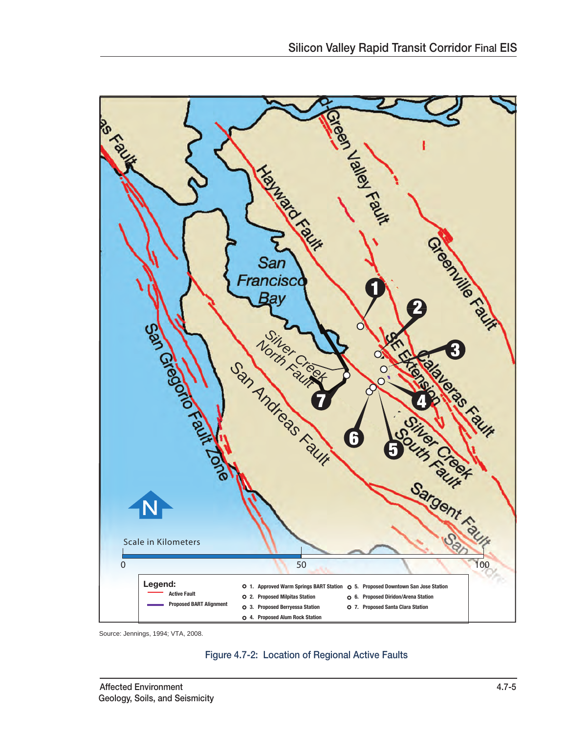

Source: Jennings, 1994; VTA, 2008.

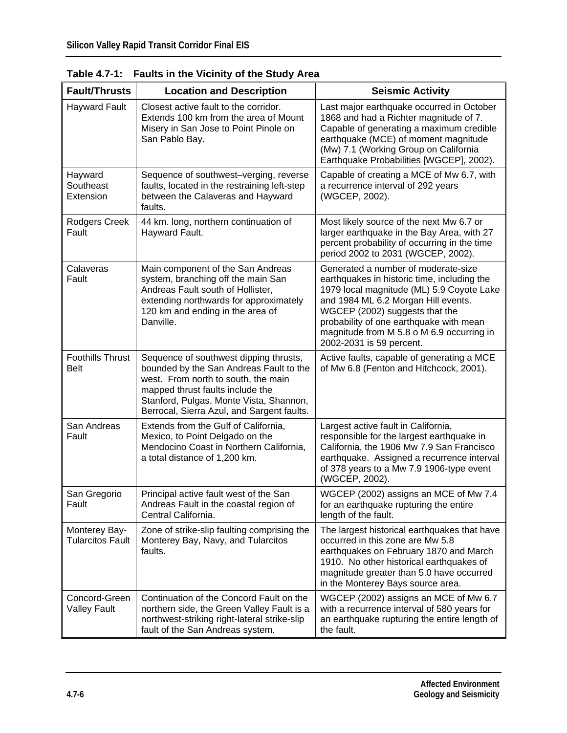| <b>Fault/Thrusts</b>                     | <b>Location and Description</b>                                                                                                                                                                                                                       | <b>Seismic Activity</b>                                                                                                                                                                                                                                                                                                      |
|------------------------------------------|-------------------------------------------------------------------------------------------------------------------------------------------------------------------------------------------------------------------------------------------------------|------------------------------------------------------------------------------------------------------------------------------------------------------------------------------------------------------------------------------------------------------------------------------------------------------------------------------|
| <b>Hayward Fault</b>                     | Closest active fault to the corridor.<br>Extends 100 km from the area of Mount<br>Misery in San Jose to Point Pinole on<br>San Pablo Bay.                                                                                                             | Last major earthquake occurred in October<br>1868 and had a Richter magnitude of 7.<br>Capable of generating a maximum credible<br>earthquake (MCE) of moment magnitude<br>(Mw) 7.1 (Working Group on California<br>Earthquake Probabilities [WGCEP], 2002).                                                                 |
| Hayward<br>Southeast<br>Extension        | Sequence of southwest-verging, reverse<br>faults, located in the restraining left-step<br>between the Calaveras and Hayward<br>faults.                                                                                                                | Capable of creating a MCE of Mw 6.7, with<br>a recurrence interval of 292 years<br>(WGCEP, 2002).                                                                                                                                                                                                                            |
| <b>Rodgers Creek</b><br>Fault            | 44 km. long, northern continuation of<br>Hayward Fault.                                                                                                                                                                                               | Most likely source of the next Mw 6.7 or<br>larger earthquake in the Bay Area, with 27<br>percent probability of occurring in the time<br>period 2002 to 2031 (WGCEP, 2002).                                                                                                                                                 |
| Calaveras<br>Fault                       | Main component of the San Andreas<br>system, branching off the main San<br>Andreas Fault south of Hollister,<br>extending northwards for approximately<br>120 km and ending in the area of<br>Danville.                                               | Generated a number of moderate-size<br>earthquakes in historic time, including the<br>1979 local magnitude (ML) 5.9 Coyote Lake<br>and 1984 ML 6.2 Morgan Hill events.<br>WGCEP (2002) suggests that the<br>probability of one earthquake with mean<br>magnitude from M 5.8 o M 6.9 occurring in<br>2002-2031 is 59 percent. |
| <b>Foothills Thrust</b><br><b>Belt</b>   | Sequence of southwest dipping thrusts,<br>bounded by the San Andreas Fault to the<br>west. From north to south, the main<br>mapped thrust faults include the<br>Stanford, Pulgas, Monte Vista, Shannon,<br>Berrocal, Sierra Azul, and Sargent faults. | Active faults, capable of generating a MCE<br>of Mw 6.8 (Fenton and Hitchcock, 2001).                                                                                                                                                                                                                                        |
| San Andreas<br>Fault                     | Extends from the Gulf of California,<br>Mexico, to Point Delgado on the<br>Mendocino Coast in Northern California,<br>a total distance of 1,200 km.                                                                                                   | Largest active fault in California,<br>responsible for the largest earthquake in<br>California, the 1906 Mw 7.9 San Francisco<br>earthquake. Assigned a recurrence interval<br>of 378 years to a Mw 7.9 1906-type event<br>(WGCEP, 2002).                                                                                    |
| San Gregorio<br>Fault                    | Principal active fault west of the San<br>Andreas Fault in the coastal region of<br>Central California.                                                                                                                                               | WGCEP (2002) assigns an MCE of Mw 7.4<br>for an earthquake rupturing the entire<br>length of the fault.                                                                                                                                                                                                                      |
| Monterey Bay-<br><b>Tularcitos Fault</b> | Zone of strike-slip faulting comprising the<br>Monterey Bay, Navy, and Tularcitos<br>faults.                                                                                                                                                          | The largest historical earthquakes that have<br>occurred in this zone are Mw 5.8<br>earthquakes on February 1870 and March<br>1910. No other historical earthquakes of<br>magnitude greater than 5.0 have occurred<br>in the Monterey Bays source area.                                                                      |
| Concord-Green<br><b>Valley Fault</b>     | Continuation of the Concord Fault on the<br>northern side, the Green Valley Fault is a<br>northwest-striking right-lateral strike-slip<br>fault of the San Andreas system.                                                                            | WGCEP (2002) assigns an MCE of Mw 6.7<br>with a recurrence interval of 580 years for<br>an earthquake rupturing the entire length of<br>the fault.                                                                                                                                                                           |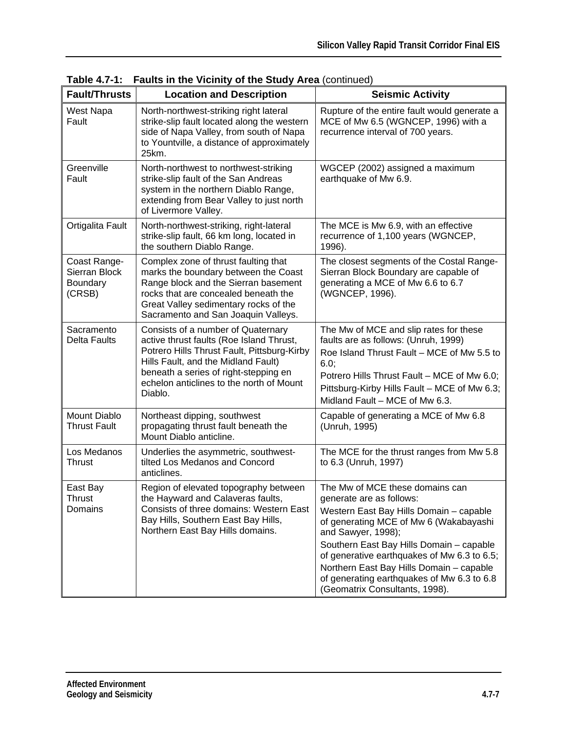| <b>Fault/Thrusts</b>                                | <b>Location and Description</b>                                                                                                                                                                                                                                      | <b>Seismic Activity</b>                                                                                                                                                                                                                                                                                                                                                                       |  |  |
|-----------------------------------------------------|----------------------------------------------------------------------------------------------------------------------------------------------------------------------------------------------------------------------------------------------------------------------|-----------------------------------------------------------------------------------------------------------------------------------------------------------------------------------------------------------------------------------------------------------------------------------------------------------------------------------------------------------------------------------------------|--|--|
| West Napa<br>Fault                                  | North-northwest-striking right lateral<br>strike-slip fault located along the western<br>side of Napa Valley, from south of Napa<br>to Yountville, a distance of approximately<br>25km.                                                                              | Rupture of the entire fault would generate a<br>MCE of Mw 6.5 (WGNCEP, 1996) with a<br>recurrence interval of 700 years.                                                                                                                                                                                                                                                                      |  |  |
| Greenville<br>Fault                                 | North-northwest to northwest-striking<br>strike-slip fault of the San Andreas<br>system in the northern Diablo Range,<br>extending from Bear Valley to just north<br>of Livermore Valley.                                                                            | WGCEP (2002) assigned a maximum<br>earthquake of Mw 6.9.                                                                                                                                                                                                                                                                                                                                      |  |  |
| Ortigalita Fault                                    | North-northwest-striking, right-lateral<br>strike-slip fault, 66 km long, located in<br>the southern Diablo Range.                                                                                                                                                   | The MCE is Mw 6.9, with an effective<br>recurrence of 1,100 years (WGNCEP,<br>1996).                                                                                                                                                                                                                                                                                                          |  |  |
| Coast Range-<br>Sierran Block<br>Boundary<br>(CRSB) | Complex zone of thrust faulting that<br>marks the boundary between the Coast<br>Range block and the Sierran basement<br>rocks that are concealed beneath the<br>Great Valley sedimentary rocks of the<br>Sacramento and San Joaquin Valleys.                         | The closest segments of the Costal Range-<br>Sierran Block Boundary are capable of<br>generating a MCE of Mw 6.6 to 6.7<br>(WGNCEP, 1996).                                                                                                                                                                                                                                                    |  |  |
| Sacramento<br><b>Delta Faults</b>                   | Consists of a number of Quaternary<br>active thrust faults (Roe Island Thrust,<br>Potrero Hills Thrust Fault, Pittsburg-Kirby<br>Hills Fault, and the Midland Fault)<br>beneath a series of right-stepping en<br>echelon anticlines to the north of Mount<br>Diablo. | The Mw of MCE and slip rates for these<br>faults are as follows: (Unruh, 1999)<br>Roe Island Thrust Fault - MCE of Mw 5.5 to<br>6.0;<br>Potrero Hills Thrust Fault - MCE of Mw 6.0;<br>Pittsburg-Kirby Hills Fault - MCE of Mw 6.3;<br>Midland Fault - MCE of Mw 6.3.                                                                                                                         |  |  |
| Mount Diablo<br><b>Thrust Fault</b>                 | Northeast dipping, southwest<br>propagating thrust fault beneath the<br>Mount Diablo anticline.                                                                                                                                                                      | Capable of generating a MCE of Mw 6.8<br>(Unruh, 1995)                                                                                                                                                                                                                                                                                                                                        |  |  |
| Los Medanos<br><b>Thrust</b>                        | Underlies the asymmetric, southwest-<br>tilted Los Medanos and Concord<br>anticlines.                                                                                                                                                                                | The MCE for the thrust ranges from Mw 5.8<br>to 6.3 (Unruh, 1997)                                                                                                                                                                                                                                                                                                                             |  |  |
| East Bay<br>Thrust<br>Domains                       | Region of elevated topography between<br>the Hayward and Calaveras faults,<br>Consists of three domains: Western East<br>Bay Hills, Southern East Bay Hills,<br>Northern East Bay Hills domains.                                                                     | The Mw of MCE these domains can<br>generate are as follows:<br>Western East Bay Hills Domain - capable<br>of generating MCE of Mw 6 (Wakabayashi<br>and Sawyer, 1998);<br>Southern East Bay Hills Domain - capable<br>of generative earthquakes of Mw 6.3 to 6.5;<br>Northern East Bay Hills Domain - capable<br>of generating earthquakes of Mw 6.3 to 6.8<br>(Geomatrix Consultants, 1998). |  |  |

**Table 4.7-1: Faults in the Vicinity of the Study Area** (continued)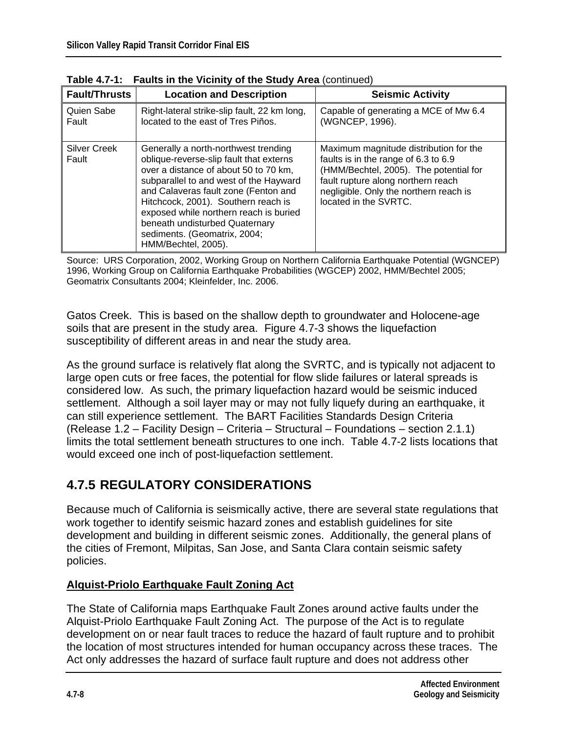| <b>Fault/Thrusts</b>         | <b>Location and Description</b>                                                                                                                                                                                                                                                                                                                                                      | <b>Seismic Activity</b>                                                                                                                                                                                                           |
|------------------------------|--------------------------------------------------------------------------------------------------------------------------------------------------------------------------------------------------------------------------------------------------------------------------------------------------------------------------------------------------------------------------------------|-----------------------------------------------------------------------------------------------------------------------------------------------------------------------------------------------------------------------------------|
| Quien Sabe<br>Fault          | Right-lateral strike-slip fault, 22 km long,<br>located to the east of Tres Piños.                                                                                                                                                                                                                                                                                                   | Capable of generating a MCE of Mw 6.4<br>(WGNCEP, 1996).                                                                                                                                                                          |
| <b>Silver Creek</b><br>Fault | Generally a north-northwest trending<br>oblique-reverse-slip fault that externs<br>over a distance of about 50 to 70 km,<br>subparallel to and west of the Hayward<br>and Calaveras fault zone (Fenton and<br>Hitchcock, 2001). Southern reach is<br>exposed while northern reach is buried<br>beneath undisturbed Quaternary<br>sediments. (Geomatrix, 2004;<br>HMM/Bechtel, 2005). | Maximum magnitude distribution for the<br>faults is in the range of 6.3 to 6.9<br>(HMM/Bechtel, 2005). The potential for<br>fault rupture along northern reach<br>negligible. Only the northern reach is<br>located in the SVRTC. |

**Table 4.7-1: Faults in the Vicinity of the Study Area** (continued)

Source: URS Corporation, 2002, Working Group on Northern California Earthquake Potential (WGNCEP) 1996, Working Group on California Earthquake Probabilities (WGCEP) 2002, HMM/Bechtel 2005; Geomatrix Consultants 2004; Kleinfelder, Inc. 2006.

Gatos Creek. This is based on the shallow depth to groundwater and Holocene-age soils that are present in the study area. Figure 4.7-3 shows the liquefaction susceptibility of different areas in and near the study area.

As the ground surface is relatively flat along the SVRTC, and is typically not adjacent to large open cuts or free faces, the potential for flow slide failures or lateral spreads is considered low. As such, the primary liquefaction hazard would be seismic induced settlement. Although a soil layer may or may not fully liquefy during an earthquake, it can still experience settlement. The BART Facilities Standards Design Criteria (Release 1.2 – Facility Design – Criteria – Structural – Foundations – section 2.1.1) limits the total settlement beneath structures to one inch. Table 4.7-2 lists locations that would exceed one inch of post-liquefaction settlement.

# **4.7.5 REGULATORY CONSIDERATIONS**

Because much of California is seismically active, there are several state regulations that work together to identify seismic hazard zones and establish guidelines for site development and building in different seismic zones. Additionally, the general plans of the cities of Fremont, Milpitas, San Jose, and Santa Clara contain seismic safety policies.

# **Alquist-Priolo Earthquake Fault Zoning Act**

The State of California maps Earthquake Fault Zones around active faults under the Alquist-Priolo Earthquake Fault Zoning Act. The purpose of the Act is to regulate development on or near fault traces to reduce the hazard of fault rupture and to prohibit the location of most structures intended for human occupancy across these traces. The Act only addresses the hazard of surface fault rupture and does not address other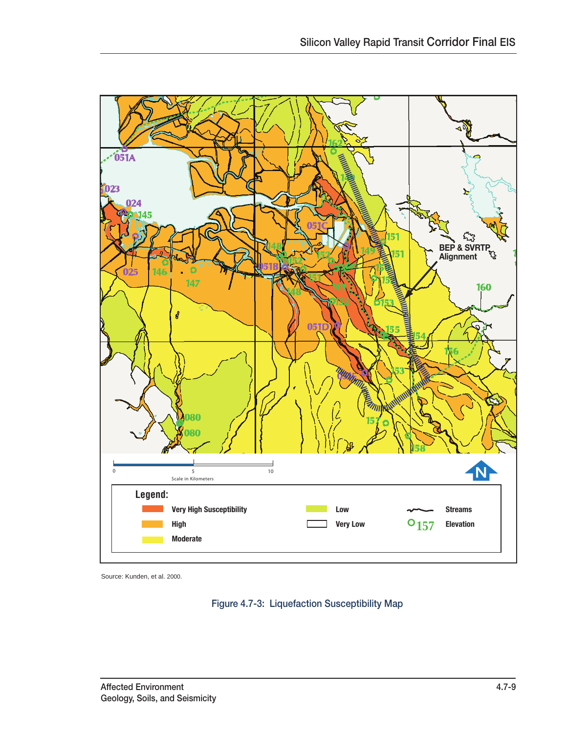

Source: Kunden, et al. 2000.

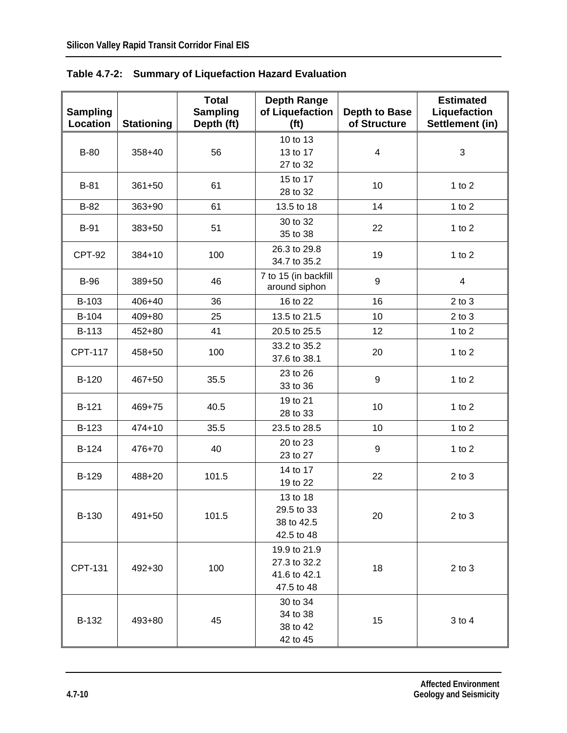| <b>Sampling</b><br>Location | <b>Stationing</b> | <b>Total</b><br><b>Sampling</b><br>Depth (ft) | <b>Depth Range</b><br>of Liquefaction<br>(f <sup>t</sup> ) | <b>Depth to Base</b><br>of Structure | <b>Estimated</b><br>Liquefaction<br>Settlement (in) |
|-----------------------------|-------------------|-----------------------------------------------|------------------------------------------------------------|--------------------------------------|-----------------------------------------------------|
| <b>B-80</b>                 | $358 + 40$        | 56                                            | 10 to 13<br>13 to 17<br>27 to 32                           | $\overline{4}$                       | 3                                                   |
| $B-81$                      | $361 + 50$        | 61                                            | 15 to 17<br>28 to 32                                       | 10                                   | 1 to $2$                                            |
| $B-82$                      | 363+90            | 61                                            | 13.5 to 18                                                 | 14                                   | 1 to $2$                                            |
| <b>B-91</b>                 | 383+50            | 51                                            | 30 to 32<br>35 to 38                                       | 22                                   | 1 to $2$                                            |
| CPT-92                      | 384+10            | 100                                           | 26.3 to 29.8<br>34.7 to 35.2                               | 19                                   | 1 to $2$                                            |
| <b>B-96</b>                 | 389+50            | 46                                            | 7 to 15 (in backfill<br>around siphon                      | 9                                    | $\overline{4}$                                      |
| B-103                       | 406+40            | 36                                            | 16 to 22                                                   | 16                                   | $2$ to $3$                                          |
| B-104                       | 409+80            | 25                                            | 13.5 to 21.5                                               | 10                                   | $2$ to $3$                                          |
| B-113                       | 452+80            | 41                                            | 20.5 to 25.5                                               | 12                                   | 1 to $2$                                            |
| <b>CPT-117</b>              | 458+50            | 100                                           | 33.2 to 35.2<br>37.6 to 38.1                               | 20                                   | 1 to $2$                                            |
| B-120                       | 467+50            | 35.5                                          | 23 to 26<br>33 to 36                                       | $\boldsymbol{9}$                     | 1 to $2$                                            |
| B-121                       | 469+75            | 40.5                                          | 19 to 21<br>28 to 33                                       | 10                                   | 1 to $2$                                            |
| B-123                       | $474 + 10$        | 35.5                                          | 23.5 to 28.5                                               | 10                                   | 1 to $2$                                            |
| B-124                       | 476+70            | 40                                            | 20 to 23<br>23 to 27                                       | $\boldsymbol{9}$                     | 1 to $2$                                            |
| B-129                       | 488+20            | 101.5                                         | 14 to 17<br>19 to 22                                       | 22                                   | $2$ to $3$                                          |
| B-130                       | 491+50            | 101.5                                         | 13 to 18<br>29.5 to 33<br>38 to 42.5<br>42.5 to 48         | 20                                   | $2$ to $3$                                          |
| CPT-131                     | 492+30            | 100                                           | 19.9 to 21.9<br>27.3 to 32.2<br>41.6 to 42.1<br>47.5 to 48 | 18                                   | $2$ to $3$                                          |
| B-132                       | 493+80            | 45                                            | 30 to 34<br>34 to 38<br>38 to 42<br>42 to 45               | 15                                   | $3$ to $4$                                          |

**Table 4.7-2: Summary of Liquefaction Hazard Evaluation**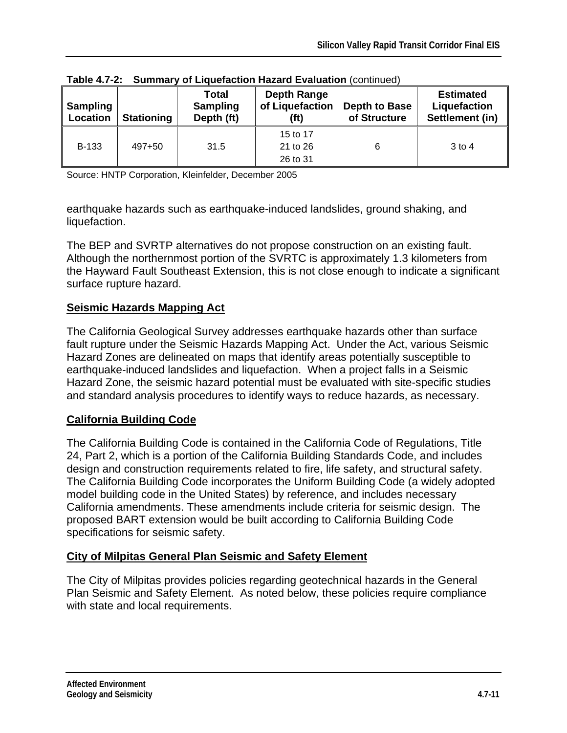| <b>Sampling</b><br>Location | <b>Stationing</b> | <b>Total</b><br><b>Sampling</b><br>Depth (ft) | <b>Depth Range</b><br>of Liquefaction<br>(ft) | <b>Depth to Base</b><br>of Structure | <b>Estimated</b><br>Liquefaction<br>Settlement (in) |
|-----------------------------|-------------------|-----------------------------------------------|-----------------------------------------------|--------------------------------------|-----------------------------------------------------|
| <b>B-133</b>                | 497+50            | 31.5                                          | 15 to 17<br>21 to 26<br>26 to 31              | 6                                    | $3 \text{ to } 4$                                   |

|  |  | Table 4.7-2: Summary of Liquefaction Hazard Evaluation (continued) |  |  |
|--|--|--------------------------------------------------------------------|--|--|
|--|--|--------------------------------------------------------------------|--|--|

Source: HNTP Corporation, Kleinfelder, December 2005

earthquake hazards such as earthquake-induced landslides, ground shaking, and liquefaction.

The BEP and SVRTP alternatives do not propose construction on an existing fault. Although the northernmost portion of the SVRTC is approximately 1.3 kilometers from the Hayward Fault Southeast Extension, this is not close enough to indicate a significant surface rupture hazard.

### **Seismic Hazards Mapping Act**

The California Geological Survey addresses earthquake hazards other than surface fault rupture under the Seismic Hazards Mapping Act. Under the Act, various Seismic Hazard Zones are delineated on maps that identify areas potentially susceptible to earthquake-induced landslides and liquefaction. When a project falls in a Seismic Hazard Zone, the seismic hazard potential must be evaluated with site-specific studies and standard analysis procedures to identify ways to reduce hazards, as necessary.

# **California Building Code**

The California Building Code is contained in the California Code of Regulations, Title 24, Part 2, which is a portion of the California Building Standards Code, and includes design and construction requirements related to fire, life safety, and structural safety. The California Building Code incorporates the Uniform Building Code (a widely adopted model building code in the United States) by reference, and includes necessary California amendments. These amendments include criteria for seismic design. The proposed BART extension would be built according to California Building Code specifications for seismic safety.

# **City of Milpitas General Plan Seismic and Safety Element**

The City of Milpitas provides policies regarding geotechnical hazards in the General Plan Seismic and Safety Element. As noted below, these policies require compliance with state and local requirements.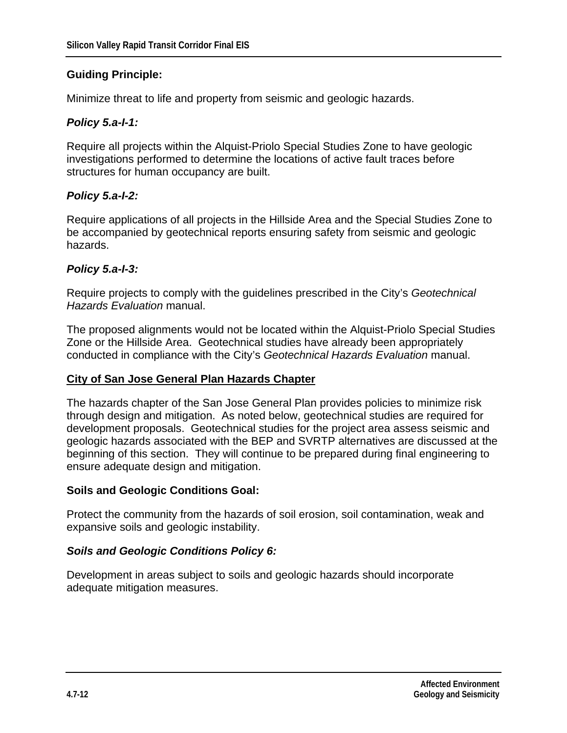#### **Guiding Principle:**

Minimize threat to life and property from seismic and geologic hazards.

#### *Policy 5.a-I-1:*

Require all projects within the Alquist-Priolo Special Studies Zone to have geologic investigations performed to determine the locations of active fault traces before structures for human occupancy are built.

#### *Policy 5.a-I-2:*

Require applications of all projects in the Hillside Area and the Special Studies Zone to be accompanied by geotechnical reports ensuring safety from seismic and geologic hazards.

#### *Policy 5.a-I-3:*

Require projects to comply with the guidelines prescribed in the City's *Geotechnical Hazards Evaluation* manual.

The proposed alignments would not be located within the Alquist-Priolo Special Studies Zone or the Hillside Area. Geotechnical studies have already been appropriately conducted in compliance with the City's *Geotechnical Hazards Evaluation* manual.

#### **City of San Jose General Plan Hazards Chapter**

The hazards chapter of the San Jose General Plan provides policies to minimize risk through design and mitigation. As noted below, geotechnical studies are required for development proposals. Geotechnical studies for the project area assess seismic and geologic hazards associated with the BEP and SVRTP alternatives are discussed at the beginning of this section. They will continue to be prepared during final engineering to ensure adequate design and mitigation.

#### **Soils and Geologic Conditions Goal:**

Protect the community from the hazards of soil erosion, soil contamination, weak and expansive soils and geologic instability.

#### *Soils and Geologic Conditions Policy 6:*

Development in areas subject to soils and geologic hazards should incorporate adequate mitigation measures.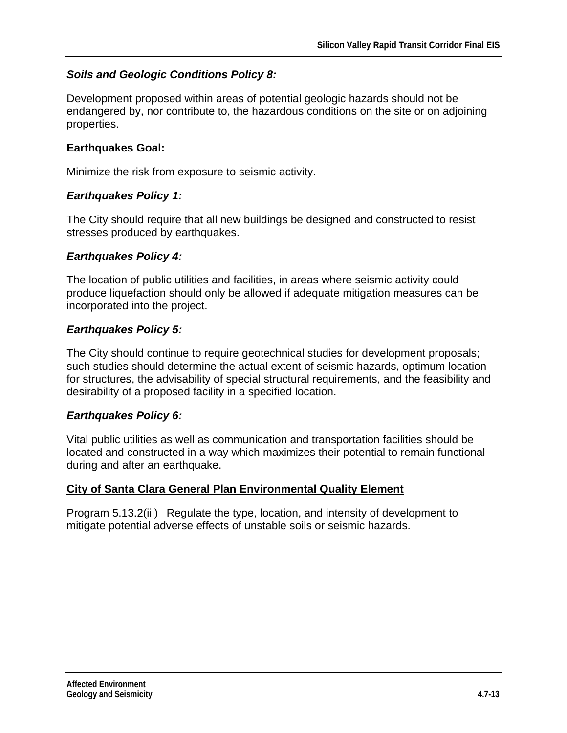# *Soils and Geologic Conditions Policy 8:*

Development proposed within areas of potential geologic hazards should not be endangered by, nor contribute to, the hazardous conditions on the site or on adjoining properties.

### **Earthquakes Goal:**

Minimize the risk from exposure to seismic activity.

# *Earthquakes Policy 1:*

The City should require that all new buildings be designed and constructed to resist stresses produced by earthquakes.

# *Earthquakes Policy 4:*

The location of public utilities and facilities, in areas where seismic activity could produce liquefaction should only be allowed if adequate mitigation measures can be incorporated into the project.

# *Earthquakes Policy 5:*

The City should continue to require geotechnical studies for development proposals; such studies should determine the actual extent of seismic hazards, optimum location for structures, the advisability of special structural requirements, and the feasibility and desirability of a proposed facility in a specified location.

# *Earthquakes Policy 6:*

Vital public utilities as well as communication and transportation facilities should be located and constructed in a way which maximizes their potential to remain functional during and after an earthquake.

# **City of Santa Clara General Plan Environmental Quality Element**

Program 5.13.2(iii) Regulate the type, location, and intensity of development to mitigate potential adverse effects of unstable soils or seismic hazards.